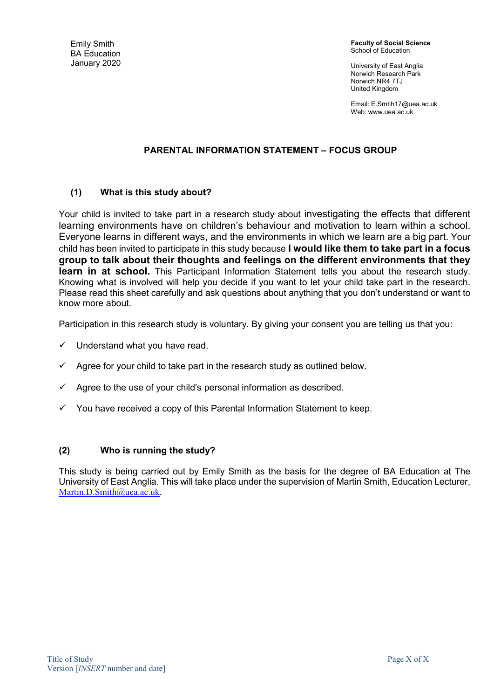Emily Smith BA Education January 2020 Faculty of Social Science School of Education

University of East Anglia Norwich Research Park Norwich NR4 7TJ United Kingdom

Email: E.Smtih17@uea.ac.uk Web: www.uea.ac.uk

#### PARENTAL INFORMATION STATEMENT – FOCUS GROUP

#### (1) What is this study about?

Your child is invited to take part in a research study about investigating the effects that different learning environments have on children's behaviour and motivation to learn within a school. Everyone learns in different ways, and the environments in which we learn are a big part. Your child has been invited to participate in this study because **I would like them to take part in a focus** group to talk about their thoughts and feelings on the different environments that they learn in at school. This Participant Information Statement tells you about the research study. Knowing what is involved will help you decide if you want to let your child take part in the research. Please read this sheet carefully and ask questions about anything that you don't understand or want to know more about.

Participation in this research study is voluntary. By giving your consent you are telling us that you:

- $\checkmark$  Understand what you have read.
- $\checkmark$  Agree for your child to take part in the research study as outlined below.
- Agree to the use of your child's personal information as described.
- $\checkmark$  You have received a copy of this Parental Information Statement to keep.

#### (2) Who is running the study?

This study is being carried out by Emily Smith as the basis for the degree of BA Education at The University of East Anglia. This will take place under the supervision of Martin Smith, Education Lecturer, Martin.D.Smith@uea.ac.uk.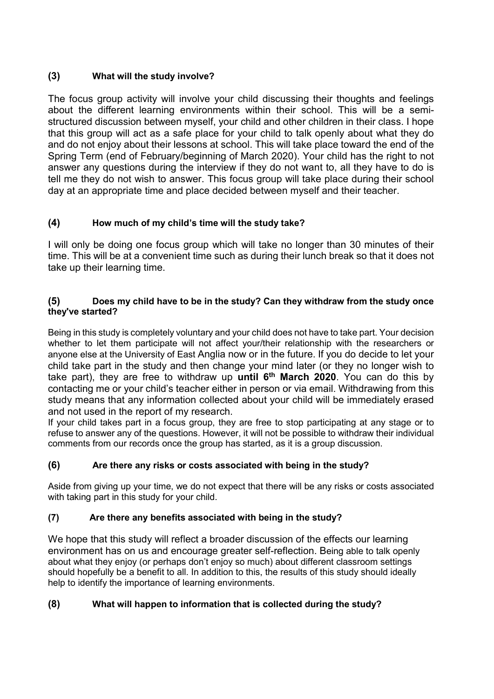# (3) What will the study involve?

The focus group activity will involve your child discussing their thoughts and feelings about the different learning environments within their school. This will be a semistructured discussion between myself, your child and other children in their class. I hope that this group will act as a safe place for your child to talk openly about what they do and do not enjoy about their lessons at school. This will take place toward the end of the Spring Term (end of February/beginning of March 2020). Your child has the right to not answer any questions during the interview if they do not want to, all they have to do is tell me they do not wish to answer. This focus group will take place during their school day at an appropriate time and place decided between myself and their teacher.

# (4) How much of my child's time will the study take?

I will only be doing one focus group which will take no longer than 30 minutes of their time. This will be at a convenient time such as during their lunch break so that it does not take up their learning time.

#### (5) Does my child have to be in the study? Can they withdraw from the study once they've started?

Being in this study is completely voluntary and your child does not have to take part. Your decision whether to let them participate will not affect your/their relationship with the researchers or anyone else at the University of East Anglia now or in the future. If you do decide to let your child take part in the study and then change your mind later (or they no longer wish to take part), they are free to withdraw up until  $6<sup>th</sup>$  March 2020. You can do this by contacting me or your child's teacher either in person or via email. Withdrawing from this study means that any information collected about your child will be immediately erased and not used in the report of my research.

If your child takes part in a focus group, they are free to stop participating at any stage or to refuse to answer any of the questions. However, it will not be possible to withdraw their individual comments from our records once the group has started, as it is a group discussion.

# (6) Are there any risks or costs associated with being in the study?

Aside from giving up your time, we do not expect that there will be any risks or costs associated with taking part in this study for your child.

# (7) Are there any benefits associated with being in the study?

We hope that this study will reflect a broader discussion of the effects our learning environment has on us and encourage greater self-reflection. Being able to talk openly about what they enjoy (or perhaps don't enjoy so much) about different classroom settings should hopefully be a benefit to all. In addition to this, the results of this study should ideally help to identify the importance of learning environments.

# (8) What will happen to information that is collected during the study?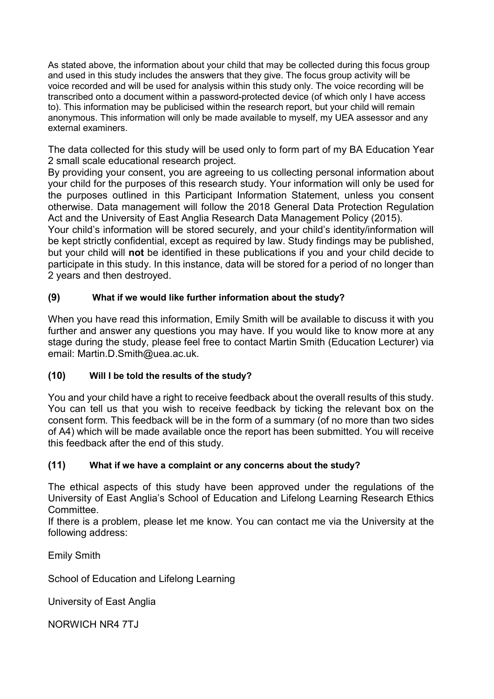As stated above, the information about your child that may be collected during this focus group and used in this study includes the answers that they give. The focus group activity will be voice recorded and will be used for analysis within this study only. The voice recording will be transcribed onto a document within a password-protected device (of which only I have access to). This information may be publicised within the research report, but your child will remain anonymous. This information will only be made available to myself, my UEA assessor and any external examiners.

The data collected for this study will be used only to form part of my BA Education Year 2 small scale educational research project.

By providing your consent, you are agreeing to us collecting personal information about your child for the purposes of this research study. Your information will only be used for the purposes outlined in this Participant Information Statement, unless you consent otherwise. Data management will follow the 2018 General Data Protection Regulation Act and the University of East Anglia Research Data Management Policy (2015).

Your child's information will be stored securely, and your child's identity/information will be kept strictly confidential, except as required by law. Study findings may be published, but your child will not be identified in these publications if you and your child decide to participate in this study. In this instance, data will be stored for a period of no longer than 2 years and then destroyed.

# (9) What if we would like further information about the study?

When you have read this information, Emily Smith will be available to discuss it with you further and answer any questions you may have. If you would like to know more at any stage during the study, please feel free to contact Martin Smith (Education Lecturer) via email: Martin.D.Smith@uea.ac.uk.

# (10) Will I be told the results of the study?

You and your child have a right to receive feedback about the overall results of this study. You can tell us that you wish to receive feedback by ticking the relevant box on the consent form. This feedback will be in the form of a summary (of no more than two sides of A4) which will be made available once the report has been submitted. You will receive this feedback after the end of this study.

# (11) What if we have a complaint or any concerns about the study?

The ethical aspects of this study have been approved under the regulations of the University of East Anglia's School of Education and Lifelong Learning Research Ethics Committee.

If there is a problem, please let me know. You can contact me via the University at the following address:

Emily Smith

School of Education and Lifelong Learning

University of East Anglia

NORWICH NR4 7TJ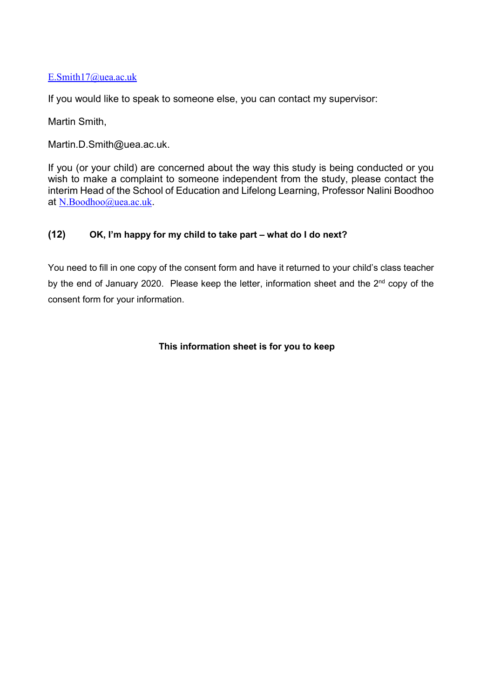#### E.Smith17@uea.ac.uk

If you would like to speak to someone else, you can contact my supervisor:

Martin Smith,

Martin.D.Smith@uea.ac.uk.

If you (or your child) are concerned about the way this study is being conducted or you wish to make a complaint to someone independent from the study, please contact the interim Head of the School of Education and Lifelong Learning, Professor Nalini Boodhoo at N.Boodhoo@uea.ac.uk.

#### (12) OK, I'm happy for my child to take part – what do I do next?

You need to fill in one copy of the consent form and have it returned to your child's class teacher by the end of January 2020. Please keep the letter, information sheet and the 2<sup>nd</sup> copy of the consent form for your information.

#### This information sheet is for you to keep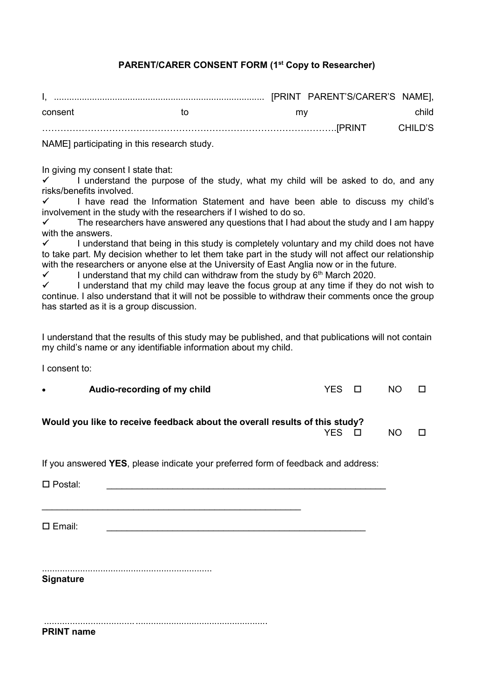#### PARENT/CARER CONSENT FORM (1<sup>st</sup> Copy to Researcher)

| consent                                     | īΩ | mv |  | child   |
|---------------------------------------------|----|----|--|---------|
|                                             |    |    |  | CHILD'S |
| NAME] participating in this research study. |    |    |  |         |

In giving my consent I state that:

 $\checkmark$  I understand the purpose of the study, what my child will be asked to do, and any risks/benefits involved.

 $\checkmark$  I have read the Information Statement and have been able to discuss my child's involvement in the study with the researchers if I wished to do so.

 $\checkmark$  The researchers have answered any questions that I had about the study and I am happy with the answers.

 I understand that being in this study is completely voluntary and my child does not have to take part. My decision whether to let them take part in the study will not affect our relationship with the researchers or anyone else at the University of East Anglia now or in the future.

I understand that my child can withdraw from the study by  $6<sup>th</sup>$  March 2020.

 I understand that my child may leave the focus group at any time if they do not wish to continue. I also understand that it will not be possible to withdraw their comments once the group has started as it is a group discussion.

I understand that the results of this study may be published, and that publications will not contain my child's name or any identifiable information about my child.

I consent to:

| $\bullet$ | Audio-recording of my child                                                 | YES O | NO. |  |
|-----------|-----------------------------------------------------------------------------|-------|-----|--|
|           | Would you like to receive feedback about the overall results of this study? | YFS.  | NO. |  |
|           |                                                                             |       |     |  |

If you answered YES, please indicate your preferred form of feedback and address:

Postal: \_\_\_\_\_\_\_\_\_\_\_\_\_\_\_\_\_\_\_\_\_\_\_\_\_\_\_\_\_\_\_\_\_\_\_\_\_\_\_\_\_\_\_\_\_\_\_\_\_\_\_\_\_\_\_

Email: \_\_\_\_\_\_\_\_\_\_\_\_\_\_\_\_\_\_\_\_\_\_\_\_\_\_\_\_\_\_\_\_\_\_\_\_\_\_\_\_\_\_\_\_\_\_\_\_\_\_\_

\_\_\_\_\_\_\_\_\_\_\_\_\_\_\_\_\_\_\_\_\_\_\_\_\_\_\_\_\_\_\_\_\_\_\_\_\_\_\_\_\_\_\_\_\_\_\_\_\_\_\_

................................................................... **Signature** 

 ................................... .................................................... PRINT name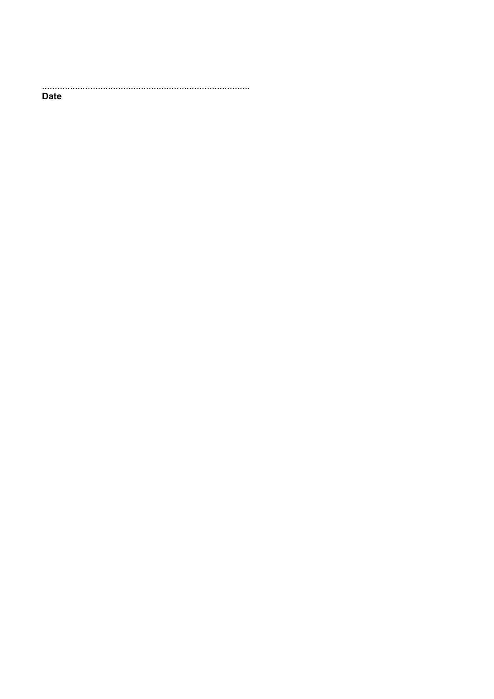**Date**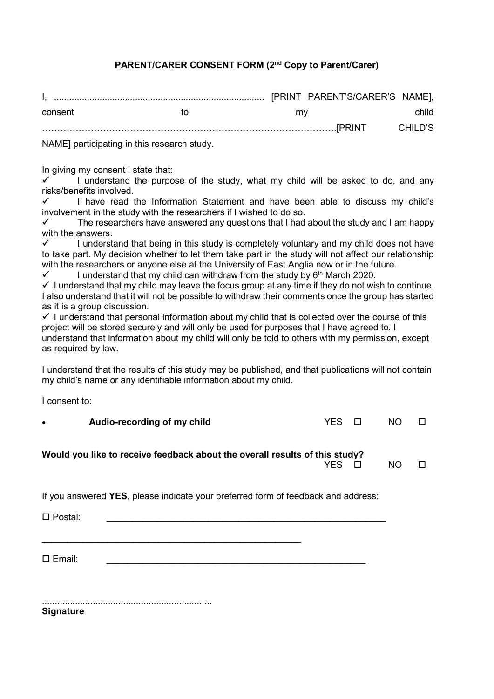# PARENT/CARER CONSENT FORM (2<sup>nd</sup> Copy to Parent/Carer)

| consent                                     | īΩ | mv |  | child   |
|---------------------------------------------|----|----|--|---------|
|                                             |    |    |  | CHILD'S |
| NAME] participating in this research study. |    |    |  |         |

In giving my consent I state that:

 I understand the purpose of the study, what my child will be asked to do, and any risks/benefits involved.

 $\checkmark$  I have read the Information Statement and have been able to discuss my child's involvement in the study with the researchers if I wished to do so.

 The researchers have answered any questions that I had about the study and I am happy with the answers.

 I understand that being in this study is completely voluntary and my child does not have to take part. My decision whether to let them take part in the study will not affect our relationship with the researchers or anyone else at the University of East Anglia now or in the future.

I understand that my child can withdraw from the study by  $6<sup>th</sup>$  March 2020.

 $\checkmark$  I understand that my child may leave the focus group at any time if they do not wish to continue. I also understand that it will not be possible to withdraw their comments once the group has started as it is a group discussion.

 $\checkmark$  I understand that personal information about my child that is collected over the course of this project will be stored securely and will only be used for purposes that I have agreed to. I

understand that information about my child will only be told to others with my permission, except as required by law.

I understand that the results of this study may be published, and that publications will not contain my child's name or any identifiable information about my child.

I consent to:

| Audio-recording of my child | YES O | NO. | $\Box$ |
|-----------------------------|-------|-----|--------|
|                             |       |     |        |
|                             |       |     |        |

#### Would you like to receive feedback about the overall results of this study?

NO DESIGNATION DES DESIGNATIONS DES DES NOTES DE NOTES DE L'ON DES DES NOTES DE L'ON DES DES DES NOTES DE L'ON

If you answered YES, please indicate your preferred form of feedback and address:

Postal: \_\_\_\_\_\_\_\_\_\_\_\_\_\_\_\_\_\_\_\_\_\_\_\_\_\_\_\_\_\_\_\_\_\_\_\_\_\_\_\_\_\_\_\_\_\_\_\_\_\_\_\_\_\_\_

Email: \_\_\_\_\_\_\_\_\_\_\_\_\_\_\_\_\_\_\_\_\_\_\_\_\_\_\_\_\_\_\_\_\_\_\_\_\_\_\_\_\_\_\_\_\_\_\_\_\_\_\_

...................................................................

**Signature**